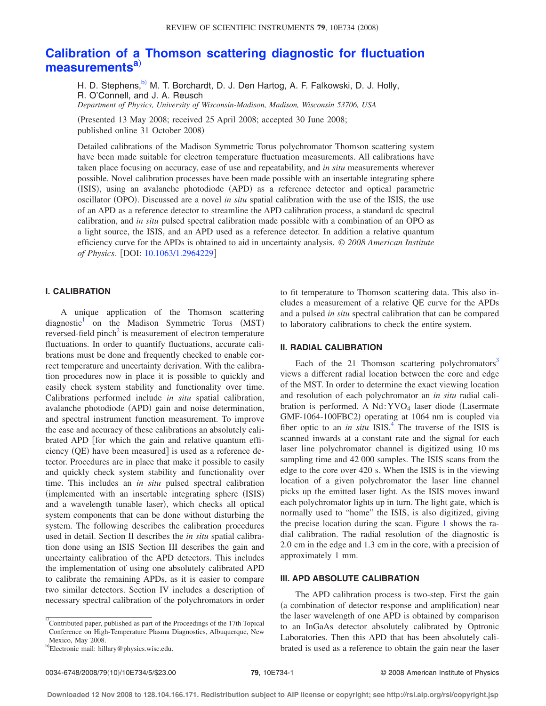# **[Calibration of a Thomson scattering diagnostic for fluctuation](http://dx.doi.org/10.1063/1.2964229) [measurements](http://dx.doi.org/10.1063/1.2964229)[a](#page-0-0)**…

H. D. Stephens, <sup>b)</sup> M. T. Borchardt, D. J. Den Hartog, A. F. Falkowski, D. J. Holly, R. O'Connell, and J. A. Reusch *Department of Physics, University of Wisconsin-Madison, Madison, Wisconsin 53706, USA*

!Presented 13 May 2008; received 25 April 2008; accepted 30 June 2008; published online 31 October 2008)

Detailed calibrations of the Madison Symmetric Torus polychromator Thomson scattering system have been made suitable for electron temperature fluctuation measurements. All calibrations have taken place focusing on accuracy, ease of use and repeatability, and *in situ* measurements wherever possible. Novel calibration processes have been made possible with an insertable integrating sphere (ISIS), using an avalanche photodiode (APD) as a reference detector and optical parametric oscillator (OPO). Discussed are a novel *in situ* spatial calibration with the use of the ISIS, the use of an APD as a reference detector to streamline the APD calibration process, a standard dc spectral calibration, and *in situ* pulsed spectral calibration made possible with a combination of an OPO as a light source, the ISIS, and an APD used as a reference detector. In addition a relative quantum efficiency curve for the APDs is obtained to aid in uncertainty analysis. *© 2008 American Institute of Physics.* [DOI: [10.1063/1.2964229](http://dx.doi.org/10.1063/1.2964229)]

# **I. CALIBRATION**

A unique application of the Thomson scattering diagnostic<sup>1</sup> on the Madison Symmetric Torus  $(MST)$ reversed-field pinch<sup>2</sup> is measurement of electron temperature fluctuations. In order to quantify fluctuations, accurate calibrations must be done and frequently checked to enable correct temperature and uncertainty derivation. With the calibration procedures now in place it is possible to quickly and easily check system stability and functionality over time. Calibrations performed include *in situ* spatial calibration, avalanche photodiode (APD) gain and noise determination, and spectral instrument function measurement. To improve the ease and accuracy of these calibrations an absolutely calibrated APD [for which the gain and relative quantum efficiency (QE) have been measured] is used as a reference detector. Procedures are in place that make it possible to easily and quickly check system stability and functionality over time. This includes an *in situ* pulsed spectral calibration (implemented with an insertable integrating sphere (ISIS) and a wavelength tunable laser), which checks all optical system components that can be done without disturbing the system. The following describes the calibration procedures used in detail. Section II describes the *in situ* spatial calibration done using an ISIS Section III describes the gain and uncertainty calibration of the APD detectors. This includes the implementation of using one absolutely calibrated APD to calibrate the remaining APDs, as it is easier to compare two similar detectors. Section IV includes a description of necessary spectral calibration of the polychromators in order to fit temperature to Thomson scattering data. This also includes a measurement of a relative QE curve for the APDs and a pulsed *in situ* spectral calibration that can be compared to laboratory calibrations to check the entire system.

# **II. RADIAL CALIBRATION**

Each of the 21 Thomson scattering polychromators $3$ views a different radial location between the core and edge of the MST. In order to determine the exact viewing location and resolution of each polychromator an *in situ* radial calibration is performed. A  $Nd:YVO<sub>4</sub>$  laser diode (Lasermate GMF-1064-100FBC2) operating at 1064 nm is coupled via fiber optic to an *in situ* ISIS.<sup>4</sup> The traverse of the ISIS is scanned inwards at a constant rate and the signal for each laser line polychromator channel is digitized using 10 ms sampling time and 42 000 samples. The ISIS scans from the edge to the core over 420 s. When the ISIS is in the viewing location of a given polychromator the laser line channel picks up the emitted laser light. As the ISIS moves inward each polychromator lights up in turn. The light gate, which is normally used to "home" the ISIS, is also digitized, giving the precise location during the scan. Figure [1](#page-1-0) shows the radial calibration. The radial resolution of the diagnostic is 2.0 cm in the edge and 1.3 cm in the core, with a precision of approximately 1 mm.

# **III. APD ABSOLUTE CALIBRATION**

The APD calibration process is two-step. First the gain (a combination of detector response and amplification) near the laser wavelength of one APD is obtained by comparison to an InGaAs detector absolutely calibrated by Optronic Laboratories. Then this APD that has been absolutely calibrated is used as a reference to obtain the gain near the laser

<span id="page-0-0"></span>a) Contributed paper, published as part of the Proceedings of the 17th Topical Conference on High-Temperature Plasma Diagnostics, Albuquerque, New Mexico, May 2008.

<span id="page-0-1"></span>b)Electronic mail: hillary@physics.wisc.edu.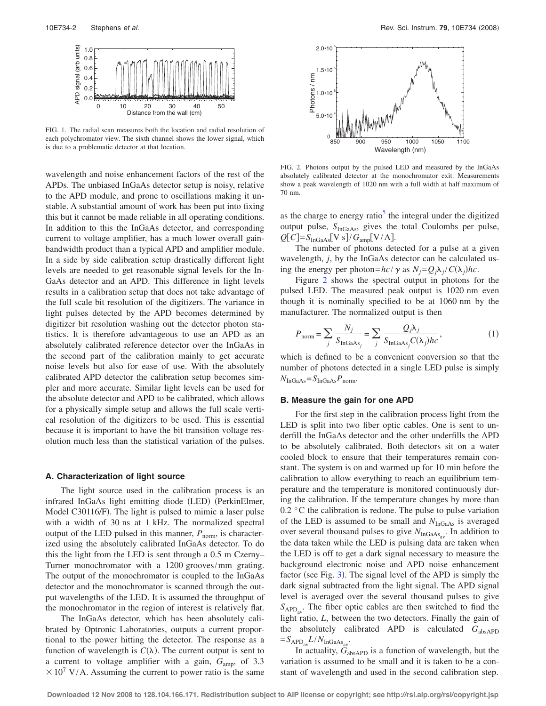<span id="page-1-0"></span>

FIG. 1. The radial scan measures both the location and radial resolution of each polychromator view. The sixth channel shows the lower signal, which is due to a problematic detector at that location.

wavelength and noise enhancement factors of the rest of the APDs. The unbiased InGaAs detector setup is noisy, relative to the APD module, and prone to oscillations making it unstable. A substantial amount of work has been put into fixing this but it cannot be made reliable in all operating conditions. In addition to this the InGaAs detector, and corresponding current to voltage amplifier, has a much lower overall gainbandwidth product than a typical APD and amplifier module. In a side by side calibration setup drastically different light levels are needed to get reasonable signal levels for the In-GaAs detector and an APD. This difference in light levels results in a calibration setup that does not take advantage of the full scale bit resolution of the digitizers. The variance in light pulses detected by the APD becomes determined by digitizer bit resolution washing out the detector photon statistics. It is therefore advantageous to use an APD as an absolutely calibrated reference detector over the InGaAs in the second part of the calibration mainly to get accurate noise levels but also for ease of use. With the absolutely calibrated APD detector the calibration setup becomes simpler and more accurate. Similar light levels can be used for the absolute detector and APD to be calibrated, which allows for a physically simple setup and allows the full scale vertical resolution of the digitizers to be used. This is essential because it is important to have the bit transition voltage resolution much less than the statistical variation of the pulses.

### **A. Characterization of light source**

The light source used in the calibration process is an infrared InGaAs light emitting diode (LED) (PerkinElmer, Model C30116/F). The light is pulsed to mimic a laser pulse with a width of 30 ns at 1 kHz. The normalized spectral output of the LED pulsed in this manner,  $P_{\text{norm}}$ , is characterized using the absolutely calibrated InGaAs detector. To do this the light from the LED is sent through a 0.5 m Czerny– Turner monochromator with a 1200 grooves/mm grating. The output of the monochromator is coupled to the InGaAs detector and the monochromator is scanned through the output wavelengths of the LED. It is assumed the throughput of the monochromator in the region of interest is relatively flat.

The InGaAs detector, which has been absolutely calibrated by Optronic Laboratories, outputs a current proportional to the power hitting the detector. The response as a function of wavelength is  $C(\lambda)$ . The current output is sent to a current to voltage amplifier with a gain,  $G_{\text{amp}}$ , of 3.3  $\times 10^{7}$  V/A. Assuming the current to power ratio is the same

<span id="page-1-1"></span>

FIG. 2. Photons output by the pulsed LED and measured by the InGaAs absolutely calibrated detector at the monochromator exit. Measurements show a peak wavelength of 1020 nm with a full width at half maximum of 70 nm.

as the charge to energy ratio<sup>5</sup> the integral under the digitized output pulse,  $S_{\text{InGaAs}}$ , gives the total Coulombs per pulse,  $Q[C] = S_{\text{InGaAs}}[V \text{ s}]/G_{\text{amp}}[V/A].$ 

The number of photons detected for a pulse at a given wavelength, *j*, by the InGaAs detector can be calculated using the energy per photon= $hc/\gamma$  as  $N_i = Q_i \lambda_i / C(\lambda_i) hc$ .

Figure [2](#page-1-1) shows the spectral output in photons for the pulsed LED. The measured peak output is 1020 nm even though it is nominally specified to be at 1060 nm by the manufacturer. The normalized output is then

$$
P_{\text{norm}} = \sum_{j} \frac{N_j}{S_{\text{InGaAs}_j}} = \sum_{j} \frac{Q_j \lambda_j}{S_{\text{InGaAs}_j} C(\lambda_j)hc},\tag{1}
$$

which is defined to be a convenient conversion so that the number of photons detected in a single LED pulse is simply  $N_{\text{InGaAs}} = S_{\text{InGaAs}} P_{\text{norm}}$ .

## **B. Measure the gain for one APD**

For the first step in the calibration process light from the LED is split into two fiber optic cables. One is sent to underfill the InGaAs detector and the other underfills the APD to be absolutely calibrated. Both detectors sit on a water cooled block to ensure that their temperatures remain constant. The system is on and warmed up for 10 min before the calibration to allow everything to reach an equilibrium temperature and the temperature is monitored continuously during the calibration. If the temperature changes by more than  $0.2 \degree$ C the calibration is redone. The pulse to pulse variation of the LED is assumed to be small and *N*InGaAs is averaged over several thousand pulses to give  $N_{\text{InGaAs}_{av}}$ . In addition to the data taken while the LED is pulsing data are taken when the LED is off to get a dark signal necessary to measure the background electronic noise and APD noise enhancement factor (see Fig.  $3$ ). The signal level of the APD is simply the dark signal subtracted from the light signal. The APD signal level is averaged over the several thousand pulses to give  $S_{APD<sub>av</sub>}$ . The fiber optic cables are then switched to find the light ratio, *L*, between the two detectors. Finally the gain of the absolutely calibrated APD is calculated *G*absAPD  $= S_{APD}L/N_{InGaAs}$ <sub>av</sub>.

In actuality,  $G_{\text{absAPD}}$  is a function of wavelength, but the variation is assumed to be small and it is taken to be a constant of wavelength and used in the second calibration step.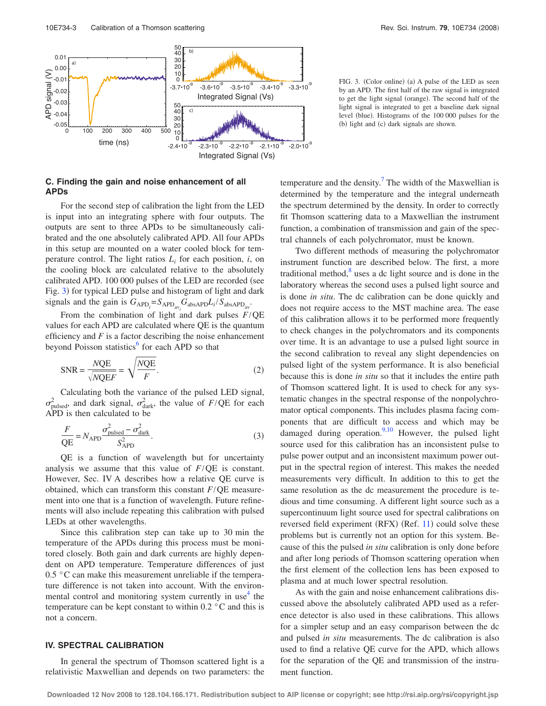<span id="page-2-0"></span>

# **C. Finding the gain and noise enhancement of all APDs**

For the second step of calibration the light from the LED is input into an integrating sphere with four outputs. The outputs are sent to three APDs to be simultaneously calibrated and the one absolutely calibrated APD. All four APDs in this setup are mounted on a water cooled block for temperature control. The light ratios  $L_i$  for each position,  $i$ , on the cooling block are calculated relative to the absolutely calibrated APD. 100 000 pulses of the LED are recorded (see Fig. [3](#page-2-0)) for typical LED pulse and histogram of light and dark signals and the gain is  $G_{APD_i} = S_{APD_{av_i}} G_{absAPD} L_i / S_{absAPD_{av}}$ .

From the combination of light and dark pulses *F*/QE values for each APD are calculated where QE is the quantum efficiency and *F* is a factor describing the noise enhancement beyond Poisson statistics<sup>6</sup> for each APD so that

$$
SNR = \frac{NQE}{\sqrt{NQEF}} = \sqrt{\frac{NQE}{F}}.
$$
\n(2)

Calculating both the variance of the pulsed LED signal,  $\sigma_{\text{pulsed}}^2$ , and dark signal,  $\sigma_{\text{dark}}^2$ , the value of *F*/QE for each APD is then calculated to be

$$
\frac{F}{QE} = N_{APD} \frac{\sigma_{\text{pulsed}}^2 - \sigma_{\text{dark}}^2}{S_{APD}^2}.
$$
 (3)

QE is a function of wavelength but for uncertainty analysis we assume that this value of *F*/QE is constant. However, Sec. IV A describes how a relative QE curve is obtained, which can transform this constant *F*/QE measurement into one that is a function of wavelength. Future refinements will also include repeating this calibration with pulsed LEDs at other wavelengths.

Since this calibration step can take up to 30 min the temperature of the APDs during this process must be monitored closely. Both gain and dark currents are highly dependent on APD temperature. Temperature differences of just  $0.5 \degree$ C can make this measurement unreliable if the temperature difference is not taken into account. With the environmental control and monitoring system currently in use<sup>4</sup> the temperature can be kept constant to within 0.2 °C and this is not a concern.

# **IV. SPECTRAL CALIBRATION**

In general the spectrum of Thomson scattered light is a relativistic Maxwellian and depends on two parameters: the

FIG. 3. (Color online) (a) A pulse of the LED as seen by an APD. The first half of the raw signal is integrated to get the light signal (orange). The second half of the light signal is integrated to get a baseline dark signal level (blue). Histograms of the 100 000 pulses for the (b) light and (c) dark signals are shown.

temperature and the density.<sup>7</sup> The width of the Maxwellian is determined by the temperature and the integral underneath the spectrum determined by the density. In order to correctly fit Thomson scattering data to a Maxwellian the instrument function, a combination of transmission and gain of the spectral channels of each polychromator, must be known.

Two different methods of measuring the polychromator instrument function are described below. The first, a more traditional method, $\frac{8}{3}$  uses a dc light source and is done in the laboratory whereas the second uses a pulsed light source and is done *in situ*. The dc calibration can be done quickly and does not require access to the MST machine area. The ease of this calibration allows it to be performed more frequently to check changes in the polychromators and its components over time. It is an advantage to use a pulsed light source in the second calibration to reveal any slight dependencies on pulsed light of the system performance. It is also beneficial because this is done *in situ* so that it includes the entire path of Thomson scattered light. It is used to check for any systematic changes in the spectral response of the nonpolychromator optical components. This includes plasma facing components that are difficult to access and which may be damaged during operation. $9,10$  $9,10$  However, the pulsed light source used for this calibration has an inconsistent pulse to pulse power output and an inconsistent maximum power output in the spectral region of interest. This makes the needed measurements very difficult. In addition to this to get the same resolution as the dc measurement the procedure is tedious and time consuming. A different light source such as a supercontinuum light source used for spectral calibrations on reversed field experiment  $(RFX)$   $(Ref. 11)$  $(Ref. 11)$  $(Ref. 11)$  could solve these problems but is currently not an option for this system. Because of this the pulsed *in situ* calibration is only done before and after long periods of Thomson scattering operation when the first element of the collection lens has been exposed to plasma and at much lower spectral resolution.

As with the gain and noise enhancement calibrations discussed above the absolutely calibrated APD used as a reference detector is also used in these calibrations. This allows for a simpler setup and an easy comparison between the dc and pulsed *in situ* measurements. The dc calibration is also used to find a relative QE curve for the APD, which allows for the separation of the QE and transmission of the instrument function.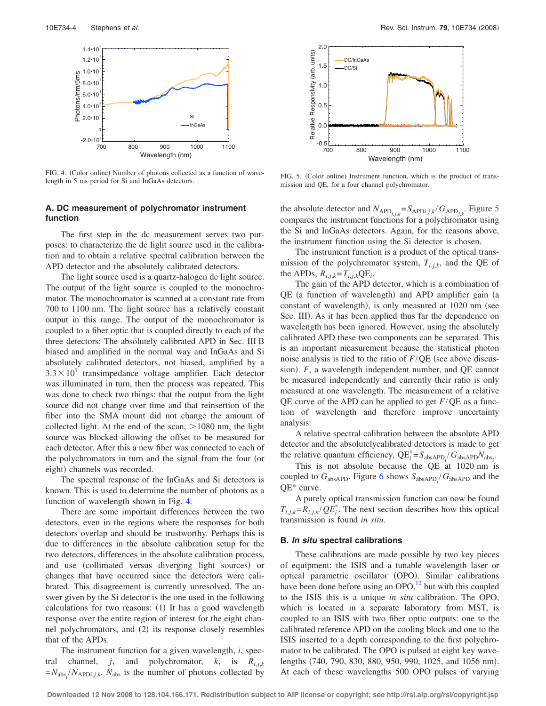<span id="page-3-0"></span>

FIG. 4. (Color online) Number of photons collected as a function of wavelength in 5 ms period for Si and InGaAs detectors.

## **A. DC measurement of polychromator instrument function**

The first step in the dc measurement serves two purposes: to characterize the dc light source used in the calibration and to obtain a relative spectral calibration between the APD detector and the absolutely calibrated detectors.

The light source used is a quartz-halogen dc light source. The output of the light source is coupled to the monochromator. The monochromator is scanned at a constant rate from 700 to 1100 nm. The light source has a relatively constant output in this range. The output of the monochromator is coupled to a fiber optic that is coupled directly to each of the three detectors: The absolutely calibrated APD in Sec. III B biased and amplified in the normal way and InGaAs and Si absolutely calibrated detectors, not biased, amplified by a  $3.3 \times 10^{7}$  transimpedance voltage amplifier. Each detector was illuminated in turn, then the process was repeated. This was done to check two things: that the output from the light source did not change over time and that reinsertion of the fiber into the SMA mount did not change the amount of collected light. At the end of the scan,  $>1080$  nm, the light source was blocked allowing the offset to be measured for each detector. After this a new fiber was connected to each of the polychromators in turn and the signal from the four (or eight) channels was recorded.

The spectral response of the InGaAs and Si detectors is known. This is used to determine the number of photons as a function of wavelength shown in Fig. [4.](#page-3-0)

There are some important differences between the two detectors, even in the regions where the responses for both detectors overlap and should be trustworthy. Perhaps this is due to differences in the absolute calibration setup for the two detectors, differences in the absolute calibration process, and use (collimated versus diverging light sources) or changes that have occurred since the detectors were calibrated. This disagreement is currently unresolved. The answer given by the Si detector is the one used in the following calculations for two reasons:  $(1)$  It has a good wavelength response over the entire region of interest for the eight channel polychromators, and (2) its response closely resembles that of the APDs.

The instrument function for a given wavelength, *i*, spectral channel, *j*, and polychromator, *k*, is  $R_{i,j,k}$  $=N_{\text{abs}_i}/N_{\text{APDi},j,k}$ .  $N_{\text{abs}}$  is the number of photons collected by

<span id="page-3-1"></span>

FIG. 5. (Color online) Instrument function, which is the product of transmission and QE, for a four channel polychromator.

the absolute detector and  $N_{APD_{i,j,k}} = S_{APDi,j,k} / G_{APD_{j,k}}$ . Figure [5](#page-3-1) compares the instrument functions for a polychromator using the Si and InGaAs detectors. Again, for the reasons above, the instrument function using the Si detector is chosen.

The instrument function is a product of the optical transmission of the polychromator system,  $T_{i,j,k}$ , and the QE of the APDs,  $R_{i,j,k} = T_{i,j,k}$ QE<sub>*i*</sub>.

The gain of the APD detector, which is a combination of QE (a function of wavelength) and APD amplifier gain (a constant of wavelength), is only measured at 1020 nm (see Sec. III). As it has been applied thus far the dependence on wavelength has been ignored. However, using the absolutely calibrated APD these two components can be separated. This is an important measurement because the statistical photon noise analysis is tied to the ratio of  $F/QE$  (see above discussion). *F*, a wavelength independent number, and QE cannot be measured independently and currently their ratio is only measured at one wavelength. The measurement of a relative QE curve of the APD can be applied to get *F*/QE as a function of wavelength and therefore improve uncertainty analysis.

A relative spectral calibration between the absolute APD detector and the absolutelycalibrated detectors is made to get the relative quantum efficiency,  $QE_i^* = S_{\text{absAPD}_i}/G_{\text{absAPD}}N_{\text{abs}_i}$ .

This is not absolute because the QE at 1020 nm is coupled to *G*absAPD. Figure [6](#page-4-12) shows *S*absAPD*<sup>i</sup>* /*G*absAPD and the QE\* curve.

A purely optical transmission function can now be found  $T_{i,j,k} = R_{i,j,k} / QE_i^*$ . The next section describes how this optical transmission is found *in situ*.

#### **B. In situ spectral calibrations**

These calibrations are made possible by two key pieces of equipment: the ISIS and a tunable wavelength laser or optical parametric oscillator (OPO). Similar calibrations have been done before using an OPO, $^{12}$  but with this coupled to the ISIS this is a unique *in situ* calibration. The OPO, which is located in a separate laboratory from MST, is coupled to an ISIS with two fiber optic outputs: one to the calibrated reference APD on the cooling block and one to the ISIS inserted to a depth corresponding to the first polychromator to be calibrated. The OPO is pulsed at eight key wavelengths (740, 790, 830, 880, 950, 990, 1025, and 1056 nm). At each of these wavelengths 500 OPO pulses of varying